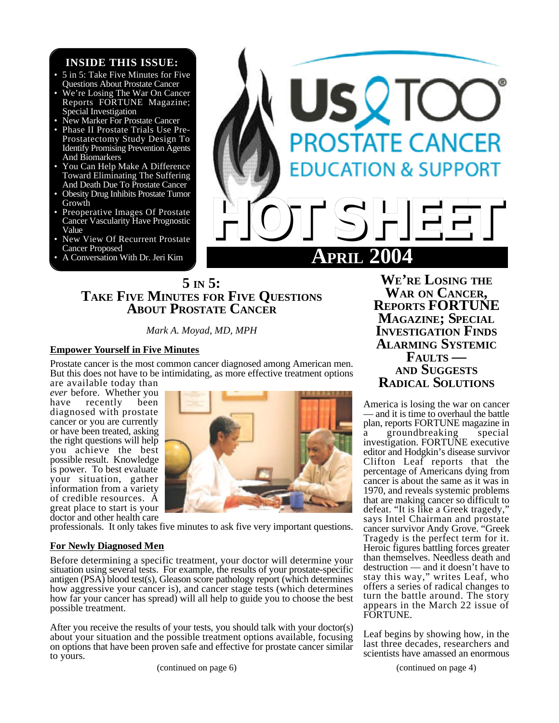# **INSIDE THIS ISSUE:**

- 5 in 5: Take Five Minutes for Five Questions About Prostate Cancer
- We're Losing The War On Cancer Reports FORTUNE Magazine; Special Investigation
- New Marker For Prostate Cancer
- Phase II Prostate Trials Use Pre-Prostatectomy Study Design To Identify Promising Prevention Agents And Biomarkers
- You Can Help Make A Difference Toward Eliminating The Suffering And Death Due To Prostate Cancer
- Obesity Drug Inhibits Prostate Tumor Growth
- Preoperative Images Of Prostate Cancer Vascularity Have Prognostic Value
- New View Of Recurrent Prostate Cancer Proposed
- A Conversation With Dr. Jeri Kim



# **5 IN 5: TAKE FIVE MINUTES FOR FIVE QUESTIONS ABOUT PROSTATE CANCER**

*Mark A. Moyad, MD, MPH*

## **Empower Yourself in Five Minutes**

Prostate cancer is the most common cancer diagnosed among American men. But this does not have to be intimidating, as more effective treatment options

are available today than *ever* before. Whether you<br>have recently been recently diagnosed with prostate cancer or you are currently or have been treated, asking the right questions will help you achieve the best possible result. Knowledge is power. To best evaluate your situation, gather information from a variety of credible resources. A great place to start is your doctor and other health care



professionals. It only takes five minutes to ask five very important questions.

## **For Newly Diagnosed Men**

Before determining a specific treatment, your doctor will determine your situation using several tests. For example, the results of your prostate-specific antigen (PSA) blood test(s), Gleason score pathology report (which determines how aggressive your cancer is), and cancer stage tests (which determines how far your cancer has spread) will all help to guide you to choose the best possible treatment.

After you receive the results of your tests, you should talk with your doctor(s) about your situation and the possible treatment options available, focusing on options that have been proven safe and effective for prostate cancer similar to yours.

(continued on page 6)

**WE'RE LOSING THE WAR ON CANCER, REPORTS FORTUNE MAGAZINE; SPECIAL INVESTIGATION FINDS ALARMING SYSTEMIC FAULTS — AND SUGGESTS RADICAL SOLUTIONS**

America is losing the war on cancer — and it is time to overhaul the battle plan, reports FORTUNE magazine in

a groundbreaking special investigation. FORTUNE executive editor and Hodgkin's disease survivor Clifton Leaf reports that the percentage of Americans dying from cancer is about the same as it was in 1970, and reveals systemic problems that are making cancer so difficult to defeat. "It is like a Greek tragedy," says Intel Chairman and prostate cancer survivor Andy Grove. "Greek Tragedy is the perfect term for it. Heroic figures battling forces greater than themselves. Needless death and destruction — and it doesn't have to stay this way," writes Leaf, who offers a series of radical changes to turn the battle around. The story appears in the March 22 issue of FORTUNE.

Leaf begins by showing how, in the last three decades, researchers and scientists have amassed an enormous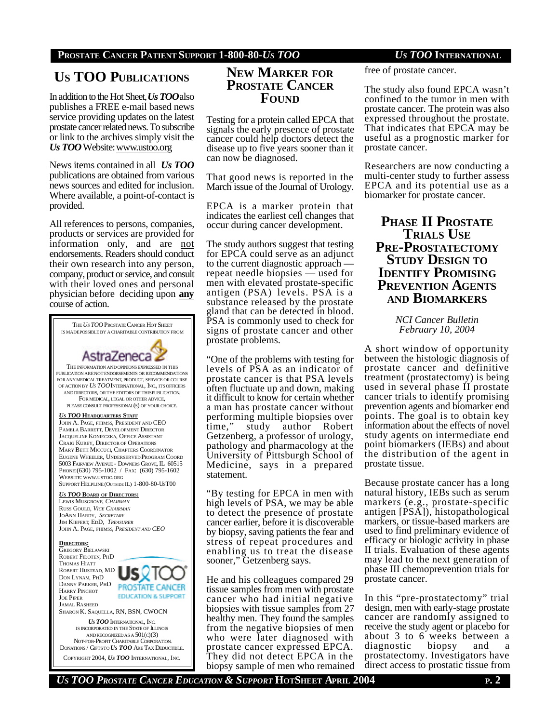# **PROSTATE CANCER PATIENT SUPPORT 1-800-80-***US TOO US TOO* **INTERNATIONAL**

# **US TOO PUBLICATIONS**

In addition to the Hot Sheet, *Us TOO*also publishes a FREE e-mail based news service providing updates on the latest prostate cancer related news. To subscribe or link to the archives simply visit the *Us TOO* Website: www.ustoo.org

News items contained in all *Us TOO* publications are obtained from various news sources and edited for inclusion. Where available, a point-of-contact is provided.

All references to persons, companies, products or services are provided for information only, and are not endorsements. Readers should conduct their own research into any person, company, product or service, and consult with their loved ones and personal physician before deciding upon **any** course of action.



# **NEW MARKER FOR PROSTATE CANCER FOUND**

Testing for a protein called EPCA that signals the early presence of prostate cancer could help doctors detect the disease up to five years sooner than it can now be diagnosed.

That good news is reported in the March issue of the Journal of Urology.

EPCA is a marker protein that indicates the earliest cell changes that occur during cancer development.

The study authors suggest that testing for EPCA could serve as an adjunct to the current diagnostic approach repeat needle biopsies — used for men with elevated prostate-specific antigen (PSA) levels. PSA is a substance released by the prostate gland that can be detected in blood. PSA is commonly used to check for signs of prostate cancer and other prostate problems.

"One of the problems with testing for levels of PSA as an indicator of prostate cancer is that PSA levels often fluctuate up and down, making it difficult to know for certain whether a man has prostate cancer without performing multiple biopsies over<br>time," study author Robert study author Robert Getzenberg, a professor of urology, pathology and pharmacology at the University of Pittsburgh School of Medicine, says in a prepared statement.

"By testing for EPCA in men with high levels of PSA, we may be able to detect the presence of prostate cancer earlier, before it is discoverable by biopsy, saving patients the fear and stress of repeat procedures and enabling us to treat the disease sooner," Getzenberg says.

He and his colleagues compared 29 tissue samples from men with prostate cancer who had initial negative biopsies with tissue samples from 27 healthy men. They found the samples from the negative biopsies of men who were later diagnosed with prostate cancer expressed EPCA. They did not detect EPCA in the biopsy sample of men who remained

free of prostate cancer.

The study also found EPCA wasn't confined to the tumor in men with prostate cancer. The protein was also expressed throughout the prostate. That indicates that EPCA may be useful as a prognostic marker for prostate cancer.

Researchers are now conducting a multi-center study to further assess EPCA and its potential use as a biomarker for prostate cancer.

# **PHASE II PROSTATE TRIALS USE PRE-PROSTATECTOMY STUDY DESIGN TO IDENTIFY PROMISING PREVENTION AGENTS AND BIOMARKERS**

*NCI Cancer Bulletin February 10, 2004*

A short window of opportunity between the histologic diagnosis of prostate cancer and definitive treatment (prostatectomy) is being used in several phase II prostate cancer trials to identify promising prevention agents and biomarker end points. The goal is to obtain key information about the effects of novel study agents on intermediate end point biomarkers (IEBs) and about the distribution of the agent in prostate tissue.

Because prostate cancer has a long natural history, IEBs such as serum markers (e.g., prostate-specific antigen [PSA]), histopathological markers, or tissue-based markers are used to find preliminary evidence of efficacy or biologic activity in phase II trials. Evaluation of these agents may lead to the next generation of phase III chemoprevention trials for prostate cancer.

In this "pre-prostatectomy" trial design, men with early-stage prostate cancer are randomly assigned to receive the study agent or placebo for about 3 to 6 weeks between a diagnostic biopsy and a prostatectomy. Investigators have direct access to prostatic tissue from

*US TOO PROSTATE CANCER EDUCATION & SUPPORT* **HOTSHEET APRIL 2004 P. 2**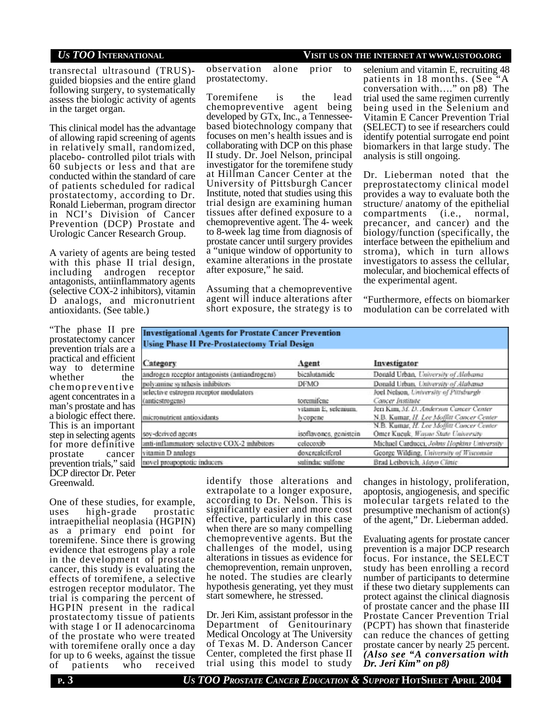## *US TOO* **INTERNATIONAL VISIT US ON THE INTERNET AT WWW.USTOO.ORG**

transrectal ultrasound (TRUS) guided biopsies and the entire gland following surgery, to systematically assess the biologic activity of agents in the target organ.

This clinical model has the advantage of allowing rapid screening of agents in relatively small, randomized, placebo- controlled pilot trials with 60 subjects or less and that are conducted within the standard of care of patients scheduled for radical prostatectomy, according to Dr. Ronald Lieberman, program director in NCI's Division of Cancer Prevention (DCP) Prostate and Urologic Cancer Research Group.

A variety of agents are being tested with this phase II trial design, including androgen receptor antagonists, antiinflammatory agents (selective COX-2 inhibitors), vitamin D analogs, and micronutrient antioxidants. (See table.)

observation alone prior to prostatectomy.

Toremifene is the lead chemopreventive agent being developed by GTx, Inc., a Tennesseebased biotechnology company that focuses on men's health issues and is collaborating with DCP on this phase II study. Dr. Joel Nelson, principal investigator for the toremifene study at Hillman Cancer Center at the University of Pittsburgh Cancer Institute, noted that studies using this trial design are examining human tissues after defined exposure to a chemopreventive agent. The 4- week to 8-week lag time from diagnosis of prostate cancer until surgery provides a "unique window of opportunity to examine alterations in the prostate after exposure," he said.

Assuming that a chemopreventive agent will induce alterations after short exposure, the strategy is to

selenium and vitamin E, recruiting 48 patients in 18 months. (See "A conversation with…." on p8) The trial used the same regimen currently being used in the Selenium and Vitamin E Cancer Prevention Trial (SELECT) to see if researchers could identify potential surrogate end point biomarkers in that large study. The analysis is still ongoing.

Dr. Lieberman noted that the preprostatectomy clinical model provides a way to evaluate both the structure/ anatomy of the epithelial compartments (i.e., normal, precancer, and cancer) and the biology/function (specifically, the interface between the epithelium and stroma), which in turn allows investigators to assess the cellular, molecular, and biochemical effects of the experimental agent.

"Furthermore, effects on biomarker modulation can be correlated with

"The phase II pre prostatectomy cancer prevention trials are a practical and efficient way to determine whether the chemopreventive agent concentrates in a man's prostate and has a biologic effect there. This is an important step in selecting agents for more definitive prostate cancer prevention trials," said DCP director Dr. Peter Greenwald.

**Investigational Agents for Prostate Cancer Prevention Using Phase II Pre-Prostatectomy Trial Design** 

| Category                                      | Agent                  | Investigator                               |
|-----------------------------------------------|------------------------|--------------------------------------------|
| androgen receptor antagonists (antiandrogens) | bicalotamide           | Donald Urban, University of Alabama        |
| polyamine synthesis inhibitors                | <b>DFMO</b>            | Donald Urban, University of Alabama        |
| selective estrogen receptor modulators        |                        | Joel Nelson, University of Pittsburgh      |
| (anticstroughs)                               | toremifene             | Cancer Institute                           |
|                                               | vitamin E, selenium.   | Jeri Kim, M. D. Anderson Cancer Center     |
| micronutrient antioxidants                    | lycopene.              | N.B. Kumar, H. Lee Moffiti Concer Center   |
|                                               |                        | N.B. Kumar, H. Lee Moffitt Concer Center   |
| sov-derived agents                            | isoflavones, genistein | Omer Kueuk, Wayne State University         |
| anti-inflammatory selective COX-2 inhibitors  | celecovib              | Michael Carducci, Johns Hopkins University |
| vitamin D analogs                             | doxoroaloiferol        | George Wilding, Linversity of Wisconsin-   |
| novel proapoptotic inducers                   | sulindac sulfone       | Brad Leibovich, Movo Clinic.               |

One of these studies, for example, uses high-grade prostatic intraepithelial neoplasia (HGPIN) as a primary end point for toremifene. Since there is growing evidence that estrogens play a role in the development of prostate cancer, this study is evaluating the effects of toremifene, a selective estrogen receptor modulator. The trial is comparing the percent of HGPIN present in the radical prostatectomy tissue of patients with stage I or II adenocarcinoma of the prostate who were treated with toremifene orally once a day for up to 6 weeks, against the tissue of patients who received identify those alterations and extrapolate to a longer exposure, according to Dr. Nelson. This is significantly easier and more cost effective, particularly in this case when there are so many compelling chemopreventive agents. But the challenges of the model, using alterations in tissues as evidence for chemoprevention, remain unproven, he noted. The studies are clearly hypothesis generating, yet they must start somewhere, he stressed.

Dr. Jeri Kim, assistant professor in the Department of Genitourinary Medical Oncology at The University of Texas M. D. Anderson Cancer Center, completed the first phase II trial using this model to study changes in histology, proliferation, apoptosis, angiogenesis, and specific molecular targets related to the presumptive mechanism of action(s) of the agent," Dr. Lieberman added.

Evaluating agents for prostate cancer prevention is a major DCP research focus. For instance, the SELECT study has been enrolling a record number of participants to determine if these two dietary supplements can protect against the clinical diagnosis of prostate cancer and the phase III Prostate Cancer Prevention Trial (PCPT) has shown that finasteride can reduce the chances of getting prostate cancer by nearly 25 percent. *(Also see "A conversation with Dr. Jeri Kim" on p8)*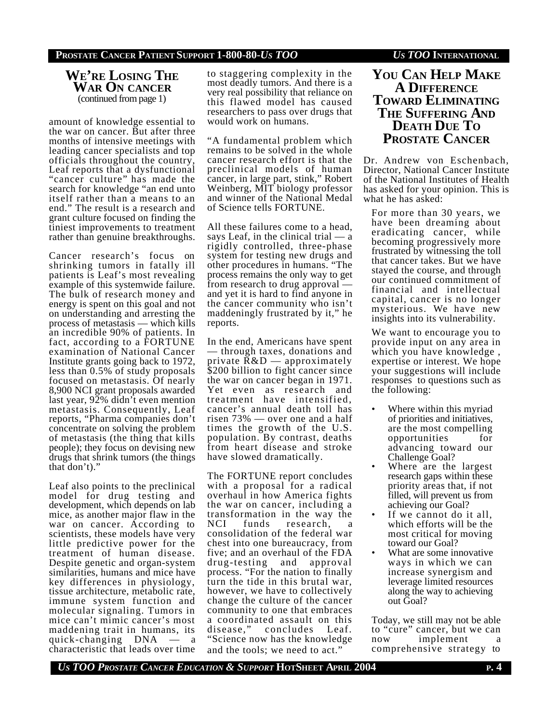# **WE'RE LOSING THE WAR ON CANCER** (continued from page 1)

amount of knowledge essential to the war on cancer. But after three months of intensive meetings with leading cancer specialists and top officials throughout the country, Leaf reports that a dysfunctional "cancer culture" has made the search for knowledge "an end unto itself rather than a means to an end." The result is a research and grant culture focused on finding the tiniest improvements to treatment rather than genuine breakthroughs.

Cancer research's focus on shrinking tumors in fatally ill patients is Leaf's most revealing example of this systemwide failure. The bulk of research money and energy is spent on this goal and not on understanding and arresting the process of metastasis — which kills an incredible 90% of patients. In fact, according to a FORTUNE examination of National Cancer Institute grants going back to 1972, less than 0.5% of study proposals focused on metastasis. Of nearly 8,900 NCI grant proposals awarded last year, 92% didn't even mention metastasis. Consequently, Leaf reports, "Pharma companies don't concentrate on solving the problem of metastasis (the thing that kills people); they focus on devising new drugs that shrink tumors (the things that don't)."

Leaf also points to the preclinical model for drug testing and development, which depends on lab mice, as another major flaw in the war on cancer. According to scientists, these models have very little predictive power for the treatment of human disease. Despite genetic and organ-system similarities, humans and mice have key differences in physiology, tissue architecture, metabolic rate, immune system function and molecular signaling. Tumors in mice can't mimic cancer's most maddening trait in humans, its quick-changing DNA — a characteristic that leads over time

to staggering complexity in the most deadly tumors. And there is a very real possibility that reliance on this flawed model has caused researchers to pass over drugs that would work on humans.

"A fundamental problem which remains to be solved in the whole cancer research effort is that the preclinical models of human cancer, in large part, stink," Robert Weinberg, MIT biology professor and winner of the National Medal of Science tells FORTUNE.

All these failures come to a head, says Leaf, in the clinical trial — a rigidly controlled, three-phase system for testing new drugs and other procedures in humans. "The process remains the only way to get from research to drug approval and yet it is hard to find anyone in the cancer community who isn't maddeningly frustrated by it," he reports.

In the end, Americans have spent — through taxes, donations and private  $R&D$  — approximately \$200 billion to fight cancer since the war on cancer began in 1971. Yet even as research and treatment have intensified, cancer's annual death toll has risen 73% — over one and a half times the growth of the U.S. population. By contrast, deaths from heart disease and stroke have slowed dramatically.

The FORTUNE report concludes with a proposal for a radical overhaul in how America fights the war on cancer, including a transformation in the way the NCI funds research, a consolidation of the federal war chest into one bureaucracy, from five; and an overhaul of the FDA drug-testing and approval process. "For the nation to finally turn the tide in this brutal war, however, we have to collectively change the culture of the cancer community to one that embraces a coordinated assault on this disease," concludes Leaf. "Science now has the knowledge and the tools; we need to act."

# **YOU CAN HELP MAKE A DIFFERENCE TOWARD ELIMINATING THE SUFFERING AND DEATH DUE TO PROSTATE CANCER**

Dr. Andrew von Eschenbach, Director, National Cancer Institute of the National Institutes of Health has asked for your opinion. This is what he has asked:

For more than 30 years, we have been dreaming about eradicating cancer, while becoming progressively more frustrated by witnessing the toll that cancer takes. But we have stayed the course, and through our continued commitment of financial and intellectual capital, cancer is no longer mysterious. We have new insights into its vulnerability.

We want to encourage you to provide input on any area in which you have knowledge, expertise or interest. We hope your suggestions will include responses to questions such as the following:

- Where within this myriad of priorities and initiatives, are the most compelling opportunities for advancing toward our Challenge Goal?
- Where are the largest research gaps within these priority areas that, if not filled, will prevent us from achieving our Goal?
- If we cannot do it all, which efforts will be the most critical for moving toward our Goal?
- What are some innovative ways in which we can increase synergism and leverage limited resources along the way to achieving out Goal?

Today, we still may not be able to "cure" cancer, but we can<br>now implement a implement a comprehensive strategy to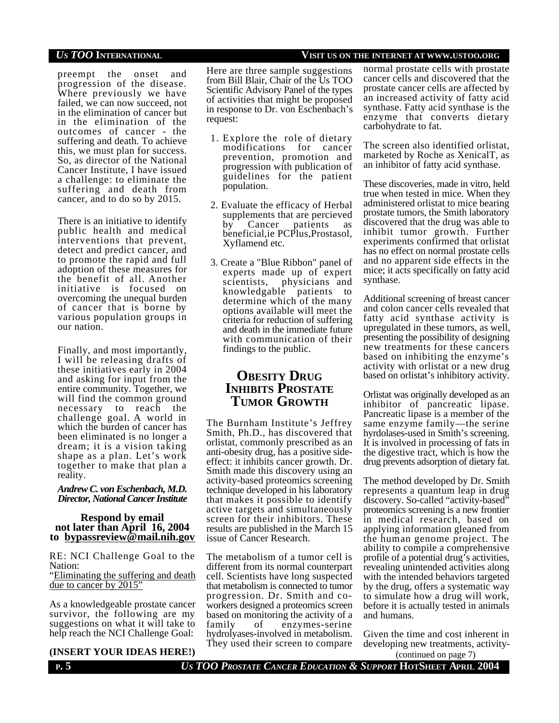preempt the onset and progression of the disease. Where previously we have failed, we can now succeed, not in the elimination of cancer but in the elimination of the outcomes of cancer - the suffering and death. To achieve this, we must plan for success. So, as director of the National Cancer Institute, I have issued a challenge: to eliminate the suffering and death from cancer, and to do so by 2015.

There is an initiative to identify public health and medical interventions that prevent, detect and predict cancer, and to promote the rapid and full adoption of these measures for the benefit of all. Another initiative is focused on overcoming the unequal burden of cancer that is borne by various population groups in our nation.

Finally, and most importantly, I will be releasing drafts of these initiatives early in 2004 and asking for input from the entire community. Together, we will find the common ground necessary to reach the challenge goal. A world in which the burden of cancer has been eliminated is no longer a dream; it is a vision taking shape as a plan. Let's work together to make that plan a reality.

## *Andrew C. von Eschenbach, M.D. Director, National Cancer Institute*

### **Respond by email not later than April 16, 2004 to bypassreview@mail.nih.gov**

RE: NCI Challenge Goal to the Nation:

### "Eliminating the suffering and death due to cancer by 2015"

As a knowledgeable prostate cancer survivor, the following are my suggestions on what it will take to help reach the NCI Challenge Goal:

# **(INSERT YOUR IDEAS HERE!)**

Here are three sample suggestions from Bill Blair, Chair of the Us TOO Scientific Advisory Panel of the types of activities that might be proposed in response to Dr. von Eschenbach's request:

- 1. Explore the role of dietary modifications for cancer prevention, promotion and progression with publication of guidelines for the patient population.
- 2. Evaluate the efficacy of Herbal supplements that are percieved<br>by Cancer patients as patients as beneficial,ie PCPlus,Prostasol, Xyflamend etc.
- 3. Create a "Blue Ribbon" panel of experts made up of expert scientists, physicians and knowledgable patients to determine which of the many options available will meet the criteria for reduction of suffering and death in the immediate future with communication of their findings to the public.

# **OBESITY DRUG INHIBITS PROSTATE TUMOR GROWTH**

The Burnham Institute's Jeffrey Smith, Ph.D., has discovered that orlistat, commonly prescribed as an anti-obesity drug, has a positive sideeffect: it inhibits cancer growth. Dr. Smith made this discovery using an activity-based proteomics screening technique developed in his laboratory that makes it possible to identify active targets and simultaneously screen for their inhibitors. These results are published in the March 15 issue of Cancer Research.

The metabolism of a tumor cell is different from its normal counterpart cell. Scientists have long suspected that metabolism is connected to tumor progression. Dr. Smith and coworkers designed a proteomics screen based on monitoring the activity of a family of enzymes-serine hydrolyases-involved in metabolism. They used their screen to compare

# *US TOO* **INTERNATIONAL VISIT US ON THE INTERNET AT WWW.USTOO.ORG**

normal prostate cells with prostate cancer cells and discovered that the prostate cancer cells are affected by an increased activity of fatty acid synthase. Fatty acid synthase is the enzyme that converts dietary carbohydrate to fat.

The screen also identified orlistat, marketed by Roche as XenicalT, as an inhibitor of fatty acid synthase.

These discoveries, made in vitro, held true when tested in mice. When they administered orlistat to mice bearing prostate tumors, the Smith laboratory discovered that the drug was able to inhibit tumor growth. Further experiments confirmed that orlistat has no effect on normal prostate cells and no apparent side effects in the mice; it acts specifically on fatty acid synthase.

Additional screening of breast cancer and colon cancer cells revealed that fatty acid synthase activity is upregulated in these tumors, as well, presenting the possibility of designing new treatments for these cancers based on inhibiting the enzyme's activity with orlistat or a new drug based on orlistat's inhibitory activity.

Orlistat was originally developed as an inhibitor of pancreatic lipase. Pancreatic lipase is a member of the same enzyme family—the serine hyrdolases-used in Smith's screening. It is involved in processing of fats in the digestive tract, which is how the drug prevents adsorption of dietary fat.

The method developed by Dr. Smith represents a quantum leap in drug discovery. So-called "activity-based" proteomics screening is a new frontier in medical research, based on applying information gleaned from the human genome project. The ability to compile a comprehensive profile of a potential drug's activities, revealing unintended activities along with the intended behaviors targeted by the drug, offers a systematic way to simulate how a drug will work, before it is actually tested in animals and humans.

Given the time and cost inherent in developing new treatments, activity-

**P. 5** *US TOO PROSTATE CANCER EDUCATION & SUPPORT* **HOTSHEET APRIL 2004** (continued on page 7)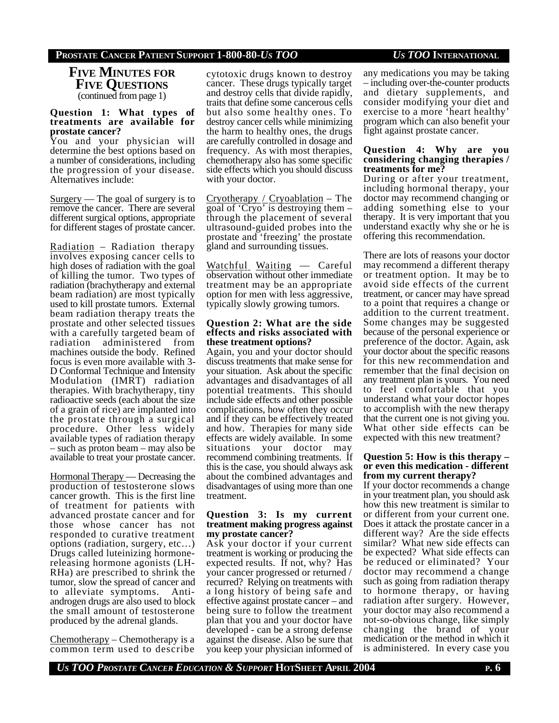## **PROSTATE CANCER PATIENT SUPPORT 1-800-80-***US TOO US TOO* **INTERNATIONAL**

**FIVE MINUTES FOR FIVE QUESTIONS** (continued from page 1)

#### **Question 1: What types of treatments are available for prostate cancer?**

You and your physician will determine the best options based on a number of considerations, including the progression of your disease. Alternatives include:

Surgery — The goal of surgery is to remove the cancer. There are several different surgical options, appropriate for different stages of prostate cancer.

Radiation – Radiation therapy involves exposing cancer cells to high doses of radiation with the goal of killing the tumor. Two types of radiation (brachytherapy and external beam radiation) are most typically used to kill prostate tumors. External beam radiation therapy treats the prostate and other selected tissues with a carefully targeted beam of radiation administered from machines outside the body. Refined focus is even more available with 3- D Conformal Technique and Intensity Modulation (IMRT) radiation therapies. With brachytherapy, tiny radioactive seeds (each about the size of a grain of rice) are implanted into the prostate through a surgical procedure. Other less widely available types of radiation therapy – such as proton beam – may also be available to treat your prostate cancer.

Hormonal Therapy — Decreasing the production of testosterone slows cancer growth. This is the first line of treatment for patients with advanced prostate cancer and for those whose cancer has not responded to curative treatment options (radiation, surgery, etc…) Drugs called luteinizing hormonereleasing hormone agonists (LH-RHa) are prescribed to shrink the tumor, slow the spread of cancer and to alleviate symptoms. Antiandrogen drugs are also used to block the small amount of testosterone produced by the adrenal glands.

Chemotherapy – Chemotherapy is a common term used to describe

cytotoxic drugs known to destroy cancer. These drugs typically target and destroy cells that divide rapidly, traits that define some cancerous cells but also some healthy ones. To destroy cancer cells while minimizing the harm to healthy ones, the drugs are carefully controlled in dosage and frequency. As with most therapies, chemotherapy also has some specific side effects which you should discuss with your doctor.

Cryotherapy / Cryoablation – The goal of 'Cryo' is destroying them – through the placement of several ultrasound-guided probes into the prostate and 'freezing' the prostate gland and surrounding tissues.

Watchful Waiting — Careful observation without other immediate treatment may be an appropriate option for men with less aggressive, typically slowly growing tumors.

#### **Question 2: What are the side effects and risks associated with these treatment options?**

Again, you and your doctor should discuss treatments that make sense for your situation. Ask about the specific advantages and disadvantages of all potential treatments. This should include side effects and other possible complications, how often they occur and if they can be effectively treated and how. Therapies for many side effects are widely available. In some situations your doctor may recommend combining treatments. If this is the case, you should always ask about the combined advantages and disadvantages of using more than one treatment.

### **Question 3: Is my current treatment making progress against my prostate cancer?**

Ask your doctor if your current treatment is working or producing the expected results. If not, why? Has your cancer progressed or returned / recurred? Relying on treatments with a long history of being safe and effective against prostate cancer – and being sure to follow the treatment plan that you and your doctor have developed - can be a strong defense against the disease. Also be sure that you keep your physician informed of any medications you may be taking – including over-the-counter products and dietary supplements, and consider modifying your diet and exercise to a more 'heart healthy' program which can also benefit your fight against prostate cancer.

### **Question 4: Why are you considering changing therapies / treatments for me?**

During or after your treatment, including hormonal therapy, your doctor may recommend changing or adding something else to your therapy. It is very important that you understand exactly why she or he is offering this recommendation.

There are lots of reasons your doctor may recommend a different therapy or treatment option. It may be to avoid side effects of the current treatment, or cancer may have spread to a point that requires a change or addition to the current treatment. Some changes may be suggested because of the personal experience or preference of the doctor. Again, ask your doctor about the specific reasons for this new recommendation and remember that the final decision on any treatment plan is yours. You need to feel comfortable that you understand what your doctor hopes to accomplish with the new therapy that the current one is not giving you. What other side effects can be expected with this new treatment?

### **Question 5: How is this therapy – or even this medication - different from my current therapy?**

If your doctor recommends a change in your treatment plan, you should ask how this new treatment is similar to or different from your current one. Does it attack the prostate cancer in a different way? Are the side effects similar? What new side effects can be expected? What side effects can be reduced or eliminated? Your doctor may recommend a change such as going from radiation therapy to hormone therapy, or having radiation after surgery. However, your doctor may also recommend a not-so-obvious change, like simply changing the brand of your medication or the method in which it is administered. In every case you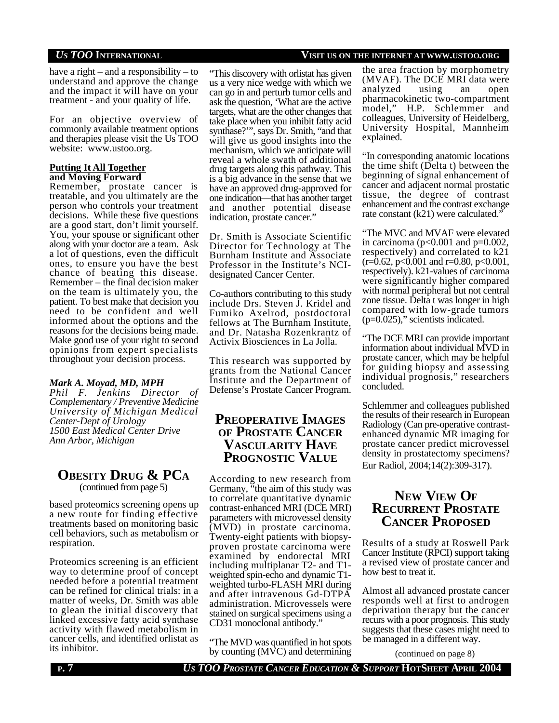## *US TOO* **INTERNATIONAL VISIT US ON THE INTERNET AT WWW.USTOO.ORG**

have a right – and a responsibility – to understand and approve the change and the impact it will have on your treatment - and your quality of life.

For an objective overview of commonly available treatment options and therapies please visit the Us TOO website: www.ustoo.org.

## **Putting It All Together and Moving Forward**

Remember, prostate cancer is treatable, and you ultimately are the person who controls your treatment decisions. While these five questions are a good start, don't limit yourself. You, your spouse or significant other along with your doctor are a team. Ask a lot of questions, even the difficult ones, to ensure you have the best chance of beating this disease. Remember – the final decision maker on the team is ultimately you, the patient. To best make that decision you need to be confident and well informed about the options and the reasons for the decisions being made. Make good use of your right to second opinions from expert specialists throughout your decision process.

## *Mark A. Moyad, MD, MPH*

*Phil F. Jenkins Director of Complementary / Preventive Medicine University of Michigan Medical Center-Dept of Urology 1500 East Medical Center Drive Ann Arbor, Michigan*

# **OBESITY DRUG & PCA** (continued from page 5)

based proteomics screening opens up a new route for finding effective treatments based on monitoring basic cell behaviors, such as metabolism or respiration.

Proteomics screening is an efficient way to determine proof of concept needed before a potential treatment can be refined for clinical trials: in a matter of weeks, Dr. Smith was able to glean the initial discovery that linked excessive fatty acid synthase activity with flawed metabolism in cancer cells, and identified orlistat as its inhibitor.

### "This discovery with orlistat has given us a very nice wedge with which we can go in and perturb tumor cells and ask the question, 'What are the active targets, what are the other changes that take place when you inhibit fatty acid synthase?'", says Dr. Smith, "and that will give us good insights into the mechanism, which we anticipate will reveal a whole swath of additional drug targets along this pathway. This is a big advance in the sense that we have an approved drug-approved for one indication—that has another target

Dr. Smith is Associate Scientific Director for Technology at The Burnham Institute and Associate Professor in the Institute's NCIdesignated Cancer Center.

and another potential disease

indication, prostate cancer."

Co-authors contributing to this study include Drs. Steven J. Kridel and Fumiko Axelrod, postdoctoral fellows at The Burnham Institute, and Dr. Natasha Rozenkrantz of Activix Biosciences in La Jolla.

This research was supported by grants from the National Cancer Institute and the Department of Defense's Prostate Cancer Program.

# **PREOPERATIVE IMAGES OF PROSTATE CANCER VASCULARITY HAVE PROGNOSTIC VALUE**

According to new research from Germany, "the aim of this study was to correlate quantitative dynamic contrast-enhanced MRI (DCE MRI) parameters with microvessel density (MVD) in prostate carcinoma. Twenty-eight patients with biopsyproven prostate carcinoma were examined by endorectal MRI including multiplanar T2- and T1 weighted spin-echo and dynamic T1 weighted turbo-FLASH MRI during and after intravenous Gd-DTPA administration. Microvessels were stained on surgical specimens using a CD31 monoclonal antibody."

"The MVD was quantified in hot spots by counting (MVC) and determining

the area fraction by morphometry (MVAF). The DCE MRI data were analyzed using an open pharmacokinetic two-compartment model," H.P. Schlemmer and colleagues, University of Heidelberg, University Hospital, Mannheim explained.

"In corresponding anatomic locations the time shift (Delta t) between the beginning of signal enhancement of cancer and adjacent normal prostatic tissue, the degree of contrast enhancement and the contrast exchange rate constant (k21) were calculated."

"The MVC and MVAF were elevated in carcinoma ( $p<0.001$  and  $p=0.002$ , respectively) and correlated to k21  $(r=0.62, p<0.001$  and  $r=0.80, p<0.001$ , respectively). k21-values of carcinoma were significantly higher compared with normal peripheral but not central zone tissue. Delta t was longer in high compared with low-grade tumors  $(p=0.025)$ ," scientists indicated.

"The DCE MRI can provide important information about individual MVD in prostate cancer, which may be helpful for guiding biopsy and assessing individual prognosis," researchers concluded.

Schlemmer and colleagues published the results of their research in European Radiology (Can pre-operative contrastenhanced dynamic MR imaging for prostate cancer predict microvessel density in prostatectomy specimens? Eur Radiol, 2004;14(2):309-317).

# **NEW VIEW OF RECURRENT PROSTATE CANCER PROPOSED**

Results of a study at Roswell Park Cancer Institute (RPCI) support taking a revised view of prostate cancer and how best to treat it.

Almost all advanced prostate cancer responds well at first to androgen deprivation therapy but the cancer recurs with a poor prognosis. This study suggests that these cases might need to be managed in a different way.

(continued on page 8)